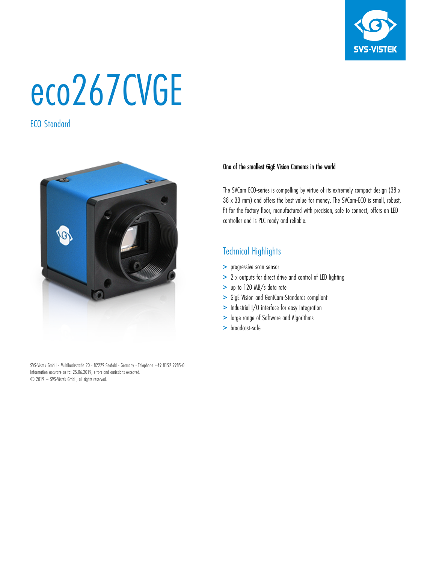

# eco267CVGE

ECO Standard



SVS-Vistek GmbH - Mühlbachstraße 20 - 82229 Seefeld - Germany - Telephone +49 8152 9985-0 Information accurate as to: 25.06.2019, errors and omissions excepted. © 2019 – SVS-Vistek GmbH, all rights reserved.

#### One of the smallest GigE Vision Cameras in the world

The SVCam ECO-series is compelling by virtue of its extremely compact design (38 x 38 x 33 mm) and offers the best value for money. The SVCam-ECO is small, robust, fit for the factory floor, manufactured with precision, safe to connect, offers an LED controller and is PLC ready and reliable.

## Technical Highlights

- > progressive scan sensor
- > 2 x outputs for direct drive and control of LED lighting
- > up to 120 MB/s data rate
- > GigE Vision and GenICam-Standards compliant
- > Industrial I/O interface for easy Integration
- > large range of Software and Algorithms
- > broadcast-safe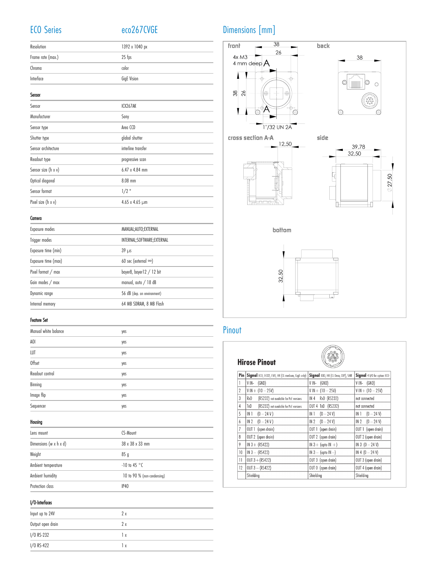## ECO Series eco267CVGE

| Resolution        | 1392 x 1040 px |
|-------------------|----------------|
| Frame rate (max.) | $25$ fps       |
| Chroma            | color          |
| Interface         | GigE Vision    |

| Sensor              |                       |  |
|---------------------|-----------------------|--|
| Sensor              | ICX267AK              |  |
| Manufacturer        | Sony                  |  |
| Sensor type         | Area CCD              |  |
| Shutter type        | global shutter        |  |
| Sensor architecture | interline transfer    |  |
| Readout type        | progressive scan      |  |
| Sensor size (h x v) | $6.47 \times 4.84$ mm |  |
| Optical diagonal    | 8.08 mm               |  |
| Sensor format       | $1/2$ "               |  |
| Pixel size (h x v)  | 4.65 x 4.65 µm        |  |
|                     |                       |  |

#### Camera

| Exposure modes      | MANUAL;AUTO;EXTERNAL         |
|---------------------|------------------------------|
| Trigger modes       | INTERNAL; SOFTWARE; EXTERNAL |
| Exposure time (min) | $39 \mu s$                   |
| Exposure time (max) | 60 sec (external $\infty$ )  |
| Pixel format / max  | bayer8, bayer12 / 12 bit     |
| Gain modes / max    | manual, auto $/18$ dB        |
| Dynamic range       | 56 dB (dep. on environment)  |
| Internal memory     | 64 MB SDRAM, 8 MB Flash      |
|                     |                              |

#### Feature Set

| yes |
|-----|
| yes |
| yes |
| yes |
| yes |
| yes |
| yes |
| yes |
|     |

#### Housing

| Lens mount                           | CS-Mount                    |
|--------------------------------------|-----------------------------|
| Dimensions ( $w \times h \times d$ ) | 38 x 38 x 33 mm             |
| Weight                               | 85q                         |
| Ambient temperature                  | $-10$ to 45 °C              |
| Ambient humidity                     | 10 to 90 % (non-condensing) |
| Protection class                     | IP40                        |

#### I/O-Interfaces

| Input up to 24V   | 2 x |
|-------------------|-----|
| Output open drain | 2 x |
| I/O RS-232        | lχ  |
| I/O RS-422        | lχ  |

## Dimensions [mm]



## Pinout

### **Hirose Pinout**



| Pin | Signal ECO, ECO2, EVO, HR (CL medium, GigE only) | Signal EXO, HR (CL Deca, CXP), SHR | Signal 4 I/O for option ECO |
|-----|--------------------------------------------------|------------------------------------|-----------------------------|
|     | (SND)<br>V IN-                                   | $V IN-$ (GND)                      | $V IN-$ (GND)               |
| 2   | $V IN + (10 - 25V)$                              | $V IN + (10 - 25V)$                | $V IN + (10 - 25V)$         |
| 3   | RxD<br>(RS232) not available for PoE versions    | RxD (RS232)<br>IN 4                | not connected               |
| 4   | TxD<br>(RS232) not available for PoE versions    | OUT 4 TxD (RS232)                  | not connected               |
| 5   | IN <sub>1</sub><br>$(0 - 24 V)$                  | IN 1<br>$(0 - 24 V)$               | $(0 - 24 V)$<br>IN 1        |
| 6   | IN 2<br>$(0 - 24 V)$                             | $(0 - 24 V)$<br>IN 2               | $IN 2 (0 - 24 V)$           |
| 7   | OUT 1 (open drain)                               | OUT 1 (open drain)                 | OUT 1 (open drain)          |
| 8   | OUT 2 (open drain)                               | OUT 2 (open drain)                 | OUT 2 (open drain)          |
| 9   | $IN 3 + (RS422)$                                 | $IN 3 + (opto IN +)$               | IN 3 $(0 - 24 V)$           |
| 10  | $IN 3 - (RS422)$                                 | $IN 3 - (opto IN -)$               | IN 4 $(0 - 24 V)$           |
| 11  | $OUT 3 + (RS422)$                                | OUT 3 (open drain)                 | OUT 3 (open drain)          |
| 12  | $OUT 3 - (RS422)$                                | OUT 0 (open drain)                 | OUT 4 (open drain)          |
|     | Shielding                                        | Shielding                          | Shielding                   |